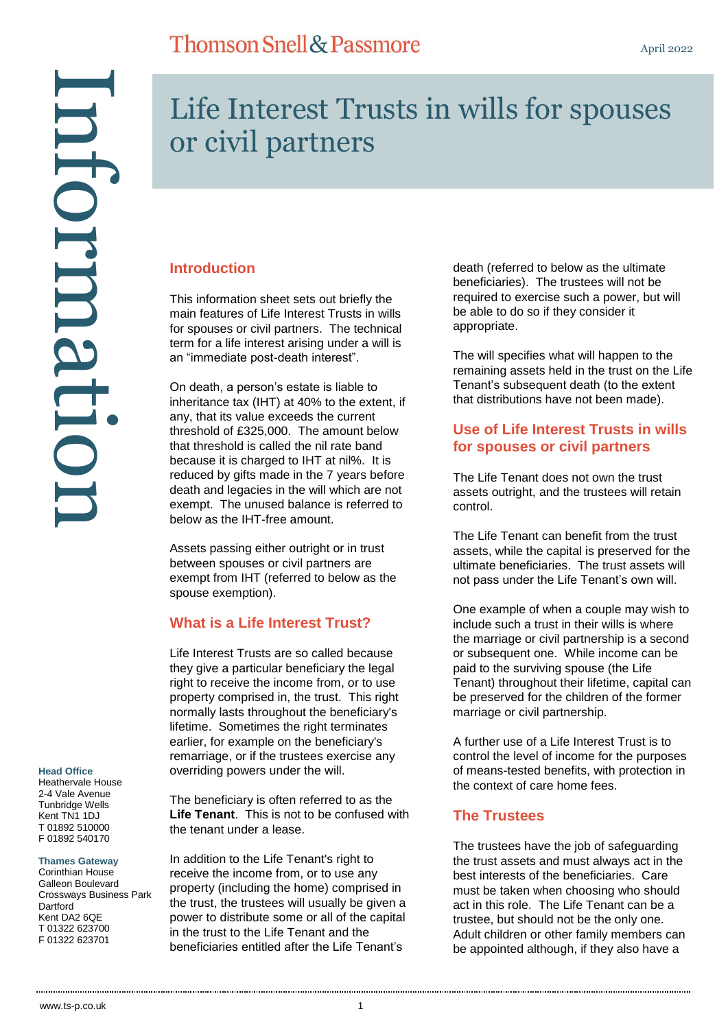# Information ntormatu

# Life Interest Trusts in wills for spouses or civil partners

### **Introduction**

This information sheet sets out briefly the main features of Life Interest Trusts in wills for spouses or civil partners. The technical term for a life interest arising under a will is an "immediate post-death interest".

On death, a person's estate is liable to inheritance tax (IHT) at 40% to the extent, if any, that its value exceeds the current threshold of £325,000. The amount below that threshold is called the nil rate band because it is charged to IHT at nil%. It is reduced by gifts made in the 7 years before death and legacies in the will which are not exempt. The unused balance is referred to below as the IHT-free amount.

Assets passing either outright or in trust between spouses or civil partners are exempt from IHT (referred to below as the spouse exemption).

### **What is a Life Interest Trust?**

Life Interest Trusts are so called because they give a particular beneficiary the legal right to receive the income from, or to use property comprised in, the trust. This right normally lasts throughout the beneficiary's lifetime. Sometimes the right terminates earlier, for example on the beneficiary's remarriage, or if the trustees exercise any overriding powers under the will.

The beneficiary is often referred to as the **Life Tenant**. This is not to be confused with the tenant under a lease.

In addition to the Life Tenant's right to receive the income from, or to use any property (including the home) comprised in the trust, the trustees will usually be given a power to distribute some or all of the capital in the trust to the Life Tenant and the beneficiaries entitled after the Life Tenant's

death (referred to below as the ultimate beneficiaries). The trustees will not be required to exercise such a power, but will be able to do so if they consider it appropriate.

The will specifies what will happen to the remaining assets held in the trust on the Life Tenant's subsequent death (to the extent that distributions have not been made).

### **Use of Life Interest Trusts in wills for spouses or civil partners**

The Life Tenant does not own the trust assets outright, and the trustees will retain control.

The Life Tenant can benefit from the trust assets, while the capital is preserved for the ultimate beneficiaries. The trust assets will not pass under the Life Tenant's own will.

One example of when a couple may wish to include such a trust in their wills is where the marriage or civil partnership is a second or subsequent one. While income can be paid to the surviving spouse (the Life Tenant) throughout their lifetime, capital can be preserved for the children of the former marriage or civil partnership.

A further use of a Life Interest Trust is to control the level of income for the purposes of means-tested benefits, with protection in the context of care home fees.

### **The Trustees**

The trustees have the job of safeguarding the trust assets and must always act in the best interests of the beneficiaries. Care must be taken when choosing who should act in this role. The Life Tenant can be a trustee, but should not be the only one. Adult children or other family members can be appointed although, if they also have a

**Head Office** Heathervale House

2-4 Vale Avenue Tunbridge Wells Kent TN1 1DJ T 01892 510000 F 01892 540170

### **Thames Gateway**

Corinthian House Galleon Boulevard Crossways Business Park **Dartford** Kent DA2 6QE T 01322 623700 F 01322 623701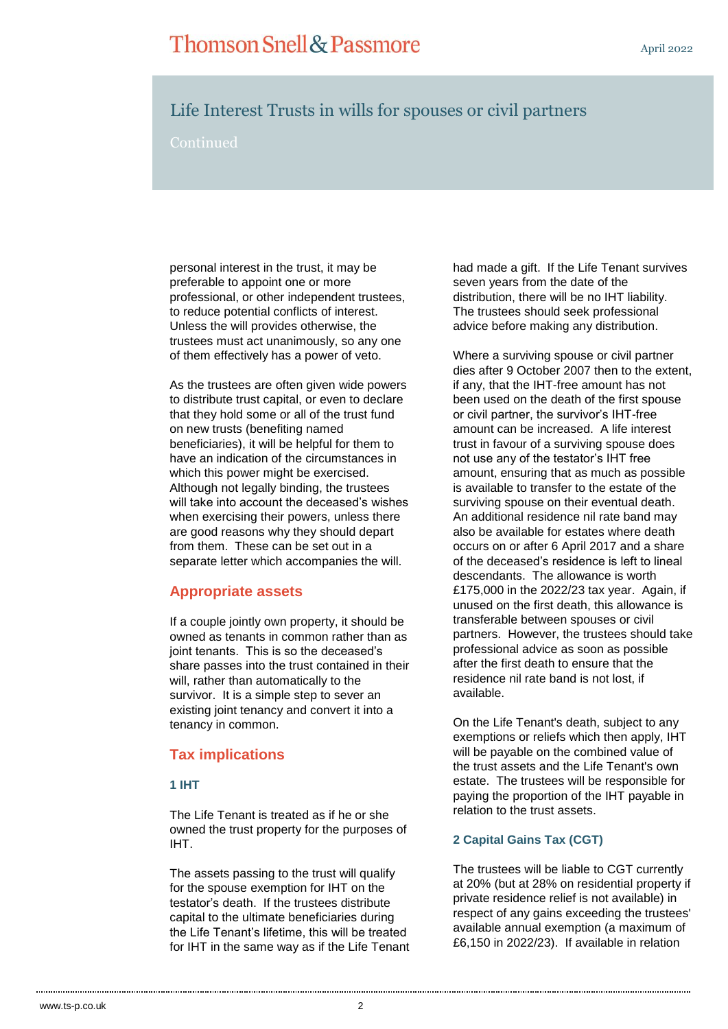# **Thomson Snell & Passmore**

### Life Interest Trusts in wills for spouses or civil partners

### Continued

personal interest in the trust, it may be preferable to appoint one or more professional, or other independent trustees, to reduce potential conflicts of interest. Unless the will provides otherwise, the trustees must act unanimously, so any one of them effectively has a power of veto.

As the trustees are often given wide powers to distribute trust capital, or even to declare that they hold some or all of the trust fund on new trusts (benefiting named beneficiaries), it will be helpful for them to have an indication of the circumstances in which this power might be exercised. Although not legally binding, the trustees will take into account the deceased's wishes when exercising their powers, unless there are good reasons why they should depart from them. These can be set out in a separate letter which accompanies the will.

### **Appropriate assets**

If a couple jointly own property, it should be owned as tenants in common rather than as joint tenants. This is so the deceased's share passes into the trust contained in their will, rather than automatically to the survivor. It is a simple step to sever an existing joint tenancy and convert it into a tenancy in common.

### **Tax implications**

### **1 IHT**

The Life Tenant is treated as if he or she owned the trust property for the purposes of IHT.

The assets passing to the trust will qualify for the spouse exemption for IHT on the testator's death. If the trustees distribute capital to the ultimate beneficiaries during the Life Tenant's lifetime, this will be treated for IHT in the same way as if the Life Tenant had made a gift. If the Life Tenant survives seven years from the date of the distribution, there will be no IHT liability. The trustees should seek professional advice before making any distribution.

Where a surviving spouse or civil partner dies after 9 October 2007 then to the extent, if any, that the IHT-free amount has not been used on the death of the first spouse or civil partner, the survivor's IHT-free amount can be increased. A life interest trust in favour of a surviving spouse does not use any of the testator's IHT free amount, ensuring that as much as possible is available to transfer to the estate of the surviving spouse on their eventual death. An additional residence nil rate band may also be available for estates where death occurs on or after 6 April 2017 and a share of the deceased's residence is left to lineal descendants. The allowance is worth £175,000 in the 2022/23 tax year. Again, if unused on the first death, this allowance is transferable between spouses or civil partners. However, the trustees should take professional advice as soon as possible after the first death to ensure that the residence nil rate band is not lost, if available.

On the Life Tenant's death, subject to any exemptions or reliefs which then apply, IHT will be payable on the combined value of the trust assets and the Life Tenant's own estate. The trustees will be responsible for paying the proportion of the IHT payable in relation to the trust assets.

### **2 Capital Gains Tax (CGT)**

The trustees will be liable to CGT currently at 20% (but at 28% on residential property if private residence relief is not available) in respect of any gains exceeding the trustees' available annual exemption (a maximum of £6,150 in 2022/23). If available in relation